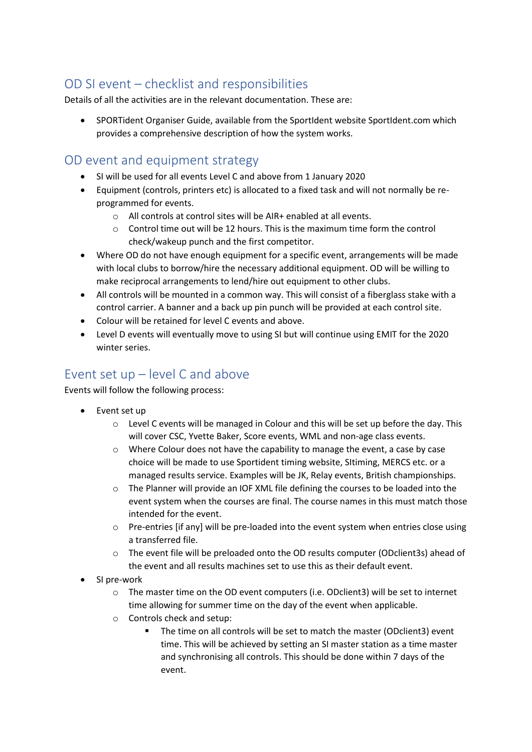# OD SI event – checklist and responsibilities

Details of all the activities are in the relevant documentation. These are:

• SPORTident Organiser Guide, available from the SportIdent website SportIdent.com which provides a comprehensive description of how the system works.

#### OD event and equipment strategy

- SI will be used for all events Level C and above from 1 January 2020
- Equipment (controls, printers etc) is allocated to a fixed task and will not normally be reprogrammed for events.
	- o All controls at control sites will be AIR+ enabled at all events.
	- $\circ$  Control time out will be 12 hours. This is the maximum time form the control check/wakeup punch and the first competitor.
- Where OD do not have enough equipment for a specific event, arrangements will be made with local clubs to borrow/hire the necessary additional equipment. OD will be willing to make reciprocal arrangements to lend/hire out equipment to other clubs.
- All controls will be mounted in a common way. This will consist of a fiberglass stake with a control carrier. A banner and a back up pin punch will be provided at each control site.
- Colour will be retained for level C events and above.
- Level D events will eventually move to using SI but will continue using EMIT for the 2020 winter series.

### Event set up – level C and above

Events will follow the following process:

- Event set up
	- $\circ$  Level C events will be managed in Colour and this will be set up before the day. This will cover CSC, Yvette Baker, Score events, WML and non-age class events.
	- o Where Colour does not have the capability to manage the event, a case by case choice will be made to use Sportident timing website, SItiming, MERCS etc. or a managed results service. Examples will be JK, Relay events, British championships.
	- o The Planner will provide an IOF XML file defining the courses to be loaded into the event system when the courses are final. The course names in this must match those intended for the event.
	- o Pre-entries [if any] will be pre-loaded into the event system when entries close using a transferred file.
	- o The event file will be preloaded onto the OD results computer (ODclient3s) ahead of the event and all results machines set to use this as their default event.
- SI pre-work
	- $\circ$  The master time on the OD event computers (i.e. ODclient3) will be set to internet time allowing for summer time on the day of the event when applicable.
	- o Controls check and setup:
		- The time on all controls will be set to match the master (ODclient3) event time. This will be achieved by setting an SI master station as a time master and synchronising all controls. This should be done within 7 days of the event.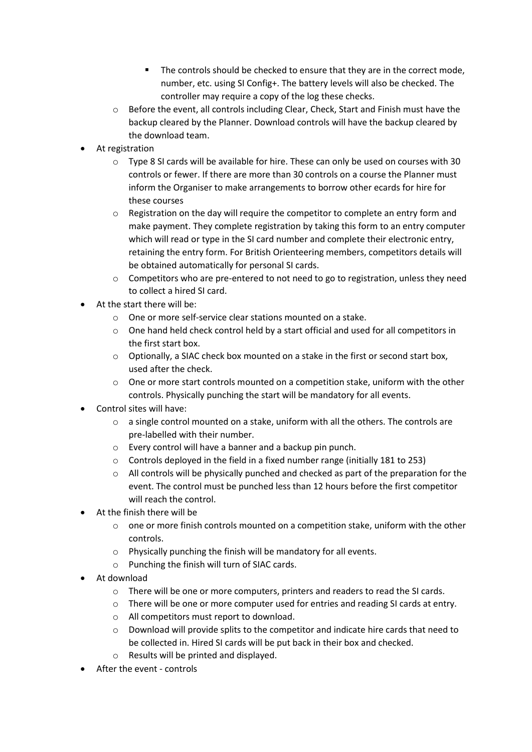- The controls should be checked to ensure that they are in the correct mode, number, etc. using SI Config+. The battery levels will also be checked. The controller may require a copy of the log these checks.
- o Before the event, all controls including Clear, Check, Start and Finish must have the backup cleared by the Planner. Download controls will have the backup cleared by the download team.
- At registration
	- $\circ$  Type 8 SI cards will be available for hire. These can only be used on courses with 30 controls or fewer. If there are more than 30 controls on a course the Planner must inform the Organiser to make arrangements to borrow other ecards for hire for these courses
	- $\circ$  Registration on the day will require the competitor to complete an entry form and make payment. They complete registration by taking this form to an entry computer which will read or type in the SI card number and complete their electronic entry, retaining the entry form. For British Orienteering members, competitors details will be obtained automatically for personal SI cards.
	- $\circ$  Competitors who are pre-entered to not need to go to registration, unless they need to collect a hired SI card.
- At the start there will be:
	- o One or more self-service clear stations mounted on a stake.
	- $\circ$  One hand held check control held by a start official and used for all competitors in the first start box.
	- $\circ$  Optionally, a SIAC check box mounted on a stake in the first or second start box, used after the check.
	- $\circ$  One or more start controls mounted on a competition stake, uniform with the other controls. Physically punching the start will be mandatory for all events.
- Control sites will have:
	- $\circ$  a single control mounted on a stake, uniform with all the others. The controls are pre-labelled with their number.
	- o Every control will have a banner and a backup pin punch.
	- o Controls deployed in the field in a fixed number range (initially 181 to 253)
	- $\circ$  All controls will be physically punched and checked as part of the preparation for the event. The control must be punched less than 12 hours before the first competitor will reach the control.
- At the finish there will be
	- $\circ$  one or more finish controls mounted on a competition stake, uniform with the other controls.
	- o Physically punching the finish will be mandatory for all events.
	- o Punching the finish will turn of SIAC cards.
- At download
	- o There will be one or more computers, printers and readers to read the SI cards.
	- $\circ$  There will be one or more computer used for entries and reading SI cards at entry.
	- o All competitors must report to download.
	- o Download will provide splits to the competitor and indicate hire cards that need to be collected in. Hired SI cards will be put back in their box and checked.
	- o Results will be printed and displayed.
- After the event controls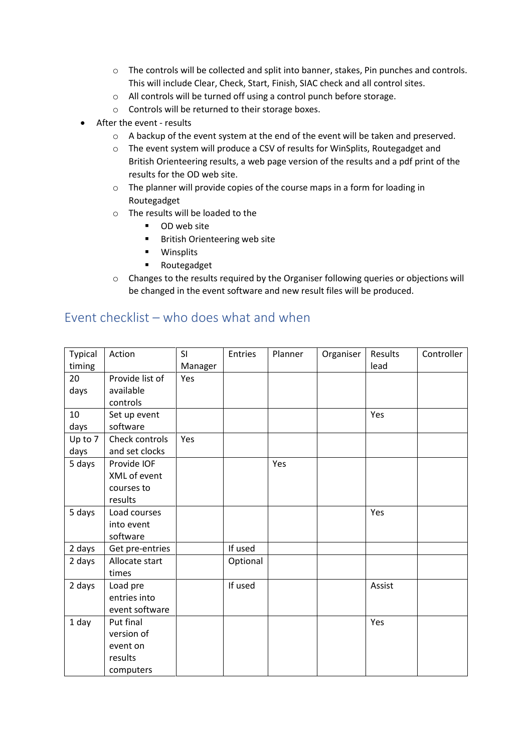- o The controls will be collected and split into banner, stakes, Pin punches and controls. This will include Clear, Check, Start, Finish, SIAC check and all control sites.
- o All controls will be turned off using a control punch before storage.
- o Controls will be returned to their storage boxes.
- After the event results
	- $\circ$  A backup of the event system at the end of the event will be taken and preserved.
	- o The event system will produce a CSV of results for WinSplits, Routegadget and British Orienteering results, a web page version of the results and a pdf print of the results for the OD web site.
	- o The planner will provide copies of the course maps in a form for loading in Routegadget
	- o The results will be loaded to the
		- OD web site
		- British Orienteering web site
		- Winsplits
		- Routegadget
	- o Changes to the results required by the Organiser following queries or objections will be changed in the event software and new result files will be produced.

| <b>Typical</b> | Action          | SI      | Entries  | Planner | Organiser | Results | Controller |
|----------------|-----------------|---------|----------|---------|-----------|---------|------------|
| timing         |                 | Manager |          |         |           | lead    |            |
| 20             | Provide list of | Yes     |          |         |           |         |            |
| days           | available       |         |          |         |           |         |            |
|                | controls        |         |          |         |           |         |            |
| 10             | Set up event    |         |          |         |           | Yes     |            |
| days           | software        |         |          |         |           |         |            |
| Up to 7        | Check controls  | Yes     |          |         |           |         |            |
| days           | and set clocks  |         |          |         |           |         |            |
| 5 days         | Provide IOF     |         |          | Yes     |           |         |            |
|                | XML of event    |         |          |         |           |         |            |
|                | courses to      |         |          |         |           |         |            |
|                | results         |         |          |         |           |         |            |
| 5 days         | Load courses    |         |          |         |           | Yes     |            |
|                | into event      |         |          |         |           |         |            |
|                | software        |         |          |         |           |         |            |
| 2 days         | Get pre-entries |         | If used  |         |           |         |            |
| 2 days         | Allocate start  |         | Optional |         |           |         |            |
|                | times           |         |          |         |           |         |            |
| 2 days         | Load pre        |         | If used  |         |           | Assist  |            |
|                | entries into    |         |          |         |           |         |            |
|                | event software  |         |          |         |           |         |            |
| 1 day          | Put final       |         |          |         |           | Yes     |            |
|                | version of      |         |          |         |           |         |            |
|                | event on        |         |          |         |           |         |            |
|                | results         |         |          |         |           |         |            |
|                | computers       |         |          |         |           |         |            |

### Event checklist – who does what and when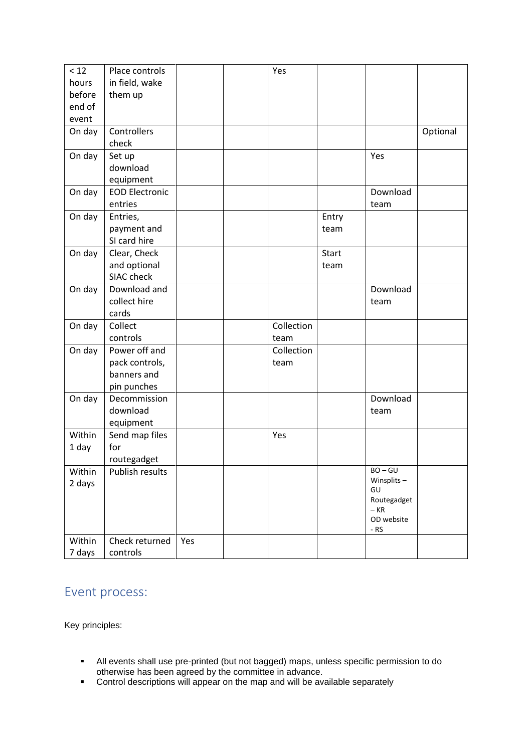| < 12   | Place controls        |     | Yes        |       |                            |          |
|--------|-----------------------|-----|------------|-------|----------------------------|----------|
| hours  | in field, wake        |     |            |       |                            |          |
| before | them up               |     |            |       |                            |          |
| end of |                       |     |            |       |                            |          |
| event  |                       |     |            |       |                            |          |
| On day | Controllers           |     |            |       |                            | Optional |
|        | check                 |     |            |       |                            |          |
| On day | Set up                |     |            |       | Yes                        |          |
|        | download              |     |            |       |                            |          |
|        | equipment             |     |            |       |                            |          |
| On day | <b>EOD Electronic</b> |     |            |       | Download                   |          |
|        | entries               |     |            |       | team                       |          |
| On day | Entries,              |     |            | Entry |                            |          |
|        | payment and           |     |            | team  |                            |          |
|        | SI card hire          |     |            |       |                            |          |
| On day | Clear, Check          |     |            | Start |                            |          |
|        | and optional          |     |            | team  |                            |          |
|        | SIAC check            |     |            |       |                            |          |
| On day | Download and          |     |            |       | Download                   |          |
|        | collect hire          |     |            |       | team                       |          |
|        | cards                 |     |            |       |                            |          |
| On day | Collect               |     | Collection |       |                            |          |
|        | controls              |     | team       |       |                            |          |
| On day | Power off and         |     | Collection |       |                            |          |
|        | pack controls,        |     | team       |       |                            |          |
|        | banners and           |     |            |       |                            |          |
|        | pin punches           |     |            |       |                            |          |
| On day | Decommission          |     |            |       | Download                   |          |
|        | download              |     |            |       | team                       |          |
|        | equipment             |     |            |       |                            |          |
| Within | Send map files        |     | Yes        |       |                            |          |
| 1 day  | for                   |     |            |       |                            |          |
|        | routegadget           |     |            |       |                            |          |
| Within | Publish results       |     |            |       | $BO - GU$<br>Winsplits $-$ |          |
| 2 days |                       |     |            |       | GU                         |          |
|        |                       |     |            |       | Routegadget                |          |
|        |                       |     |            |       | $-KR$                      |          |
|        |                       |     |            |       | OD website<br>$-RS$        |          |
| Within | Check returned        | Yes |            |       |                            |          |
| 7 days | controls              |     |            |       |                            |          |

# Event process:

Key principles:

- All events shall use pre-printed (but not bagged) maps, unless specific permission to do otherwise has been agreed by the committee in advance.
- **EXEDED FORM** Control descriptions will appear on the map and will be available separately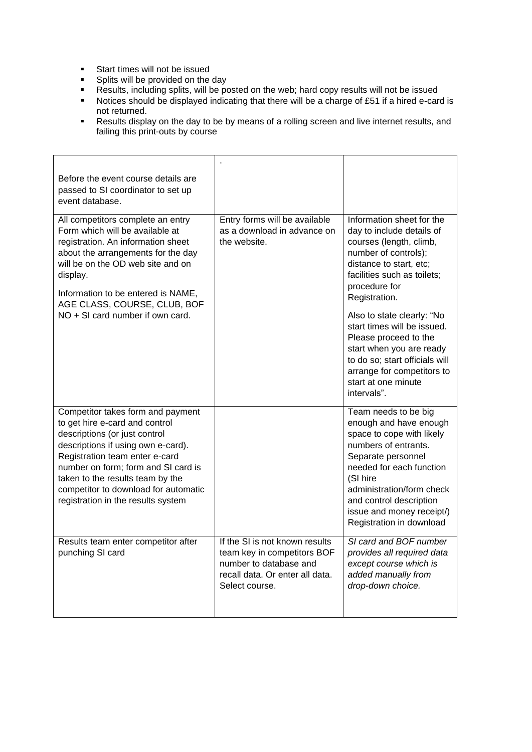- Start times will not be issued
- Splits will be provided on the day
- **EXE** Results, including splits, will be posted on the web; hard copy results will not be issued
- Notices should be displayed indicating that there will be a charge of £51 if a hired e-card is not returned.
- Results display on the day to be by means of a rolling screen and live internet results, and failing this print-outs by course

| Before the event course details are<br>passed to SI coordinator to set up<br>event database.                                                                                                                                                                                                                                          |                                                                                                                                              |                                                                                                                                                                                                                                                                                    |
|---------------------------------------------------------------------------------------------------------------------------------------------------------------------------------------------------------------------------------------------------------------------------------------------------------------------------------------|----------------------------------------------------------------------------------------------------------------------------------------------|------------------------------------------------------------------------------------------------------------------------------------------------------------------------------------------------------------------------------------------------------------------------------------|
| All competitors complete an entry<br>Form which will be available at<br>registration. An information sheet<br>about the arrangements for the day<br>will be on the OD web site and on<br>display.<br>Information to be entered is NAME,<br>AGE CLASS, COURSE, CLUB, BOF                                                               | Entry forms will be available<br>as a download in advance on<br>the website.                                                                 | Information sheet for the<br>day to include details of<br>courses (length, climb,<br>number of controls);<br>distance to start, etc;<br>facilities such as toilets;<br>procedure for<br>Registration.                                                                              |
| NO + SI card number if own card.                                                                                                                                                                                                                                                                                                      |                                                                                                                                              | Also to state clearly: "No<br>start times will be issued.<br>Please proceed to the<br>start when you are ready<br>to do so; start officials will<br>arrange for competitors to<br>start at one minute<br>intervals".                                                               |
| Competitor takes form and payment<br>to get hire e-card and control<br>descriptions (or just control<br>descriptions if using own e-card).<br>Registration team enter e-card<br>number on form; form and SI card is<br>taken to the results team by the<br>competitor to download for automatic<br>registration in the results system |                                                                                                                                              | Team needs to be big<br>enough and have enough<br>space to cope with likely<br>numbers of entrants.<br>Separate personnel<br>needed for each function<br>(SI hire<br>administration/form check<br>and control description<br>issue and money receipt/)<br>Registration in download |
| Results team enter competitor after<br>punching SI card                                                                                                                                                                                                                                                                               | If the SI is not known results<br>team key in competitors BOF<br>number to database and<br>recall data. Or enter all data.<br>Select course. | SI card and BOF number<br>provides all required data<br>except course which is<br>added manually from<br>drop-down choice.                                                                                                                                                         |